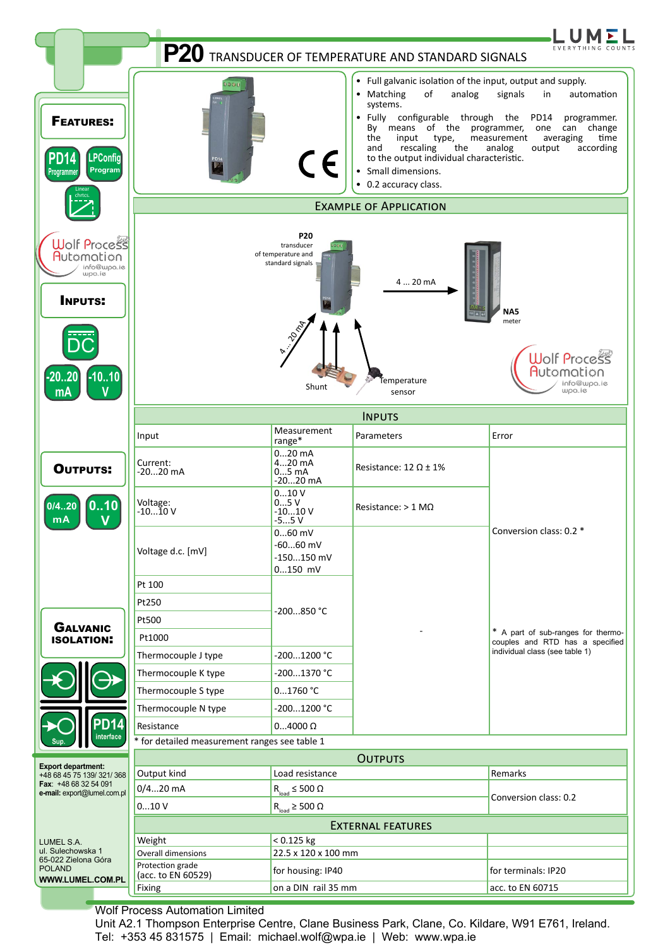

Unit A2.1 Thompson Enterprise Centre, Clane Business Park, Clane, Co. Kildare, W91 E761, Ireland. Tel: +353 45 831575 | Email: michael.wolf@wpa.ie | Web: www.wpa.ie